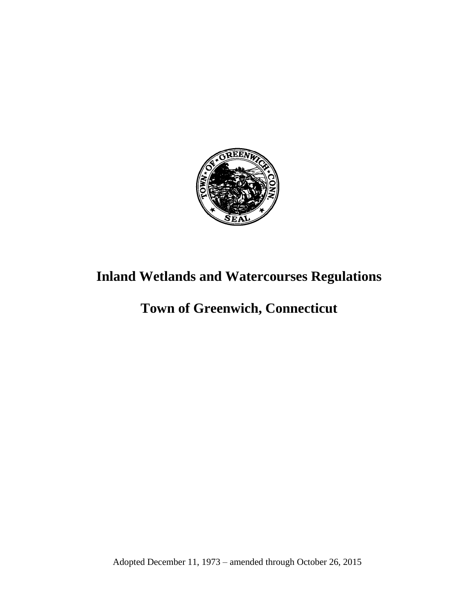

# **Inland Wetlands and Watercourses Regulations**

## **Town of Greenwich, Connecticut**

Adopted December 11, 1973 – amended through October 26, 2015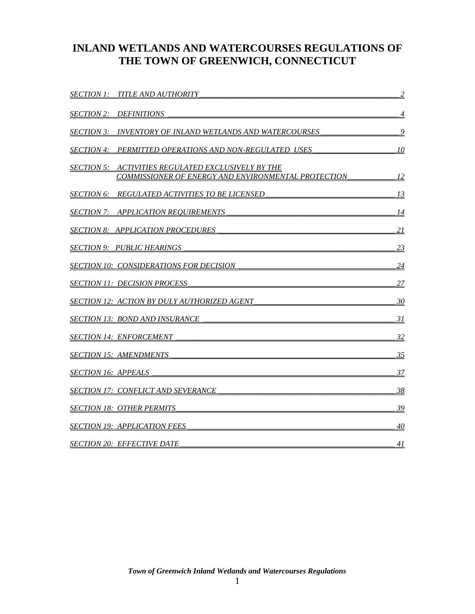## **INLAND WETLANDS AND WATERCOURSES REGULATIONS OF THE TOWN OF GREENWICH, CONNECTICUT**

<span id="page-1-0"></span>

| <i>SECTION 1: TITLE AND AUTHORITY</i>                                                                            | $\overline{2}$ |
|------------------------------------------------------------------------------------------------------------------|----------------|
| <i>SECTION 2: DEFINITIONS</i>                                                                                    | 4              |
| SECTION 3:    INVENTORY OF INLAND WETLANDS AND WATERCOURSES                                                      | 9              |
| <b>SECTION 4: PERMITTED OPERATIONS AND NON-REGULATED USES</b>                                                    | 10             |
| <b>SECTION 5: ACTIVITIES REGULATED EXCLUSIVELY BY THE</b><br>COMMISSIONER OF ENERGY AND ENVIRONMENTAL PROTECTION | <u> 12</u>     |
| SECTION 6:     REGULATED ACTIVITIES TO BE LICENSED                                                               | <u>13</u>      |
| <b>SECTION 7: APPLICATION REQUIREMENTS</b>                                                                       | <u>14</u>      |
| SECTION 8: APPLICATION PROCEDURES                                                                                | 21             |
| SECTION 9: PUBLIC HEARINGS                                                                                       | <u>23</u>      |
| SECTION 10: CONSIDERATIONS FOR DECISION                                                                          | 24             |
| <b>SECTION 11: DECISION PROCESS</b>                                                                              | 27             |
| <b>SECTION 12: ACTION BY DULY AUTHORIZED AGENT</b>                                                               | 30             |
| <u>SECTION 13: BOND AND INSURANCE</u>                                                                            | <u>31</u>      |
| <i>SECTION 14: ENFORCEMENT</i>                                                                                   | 32             |
| SECTION 15: AMENDMENTS                                                                                           | 35             |
| SECTION 16: APPEALS                                                                                              | <u>37</u>      |
| SECTION 17: CONFLICT AND SEVERANCE                                                                               | 38             |
| SECTION 18: OTHER PERMITS                                                                                        | 39             |
| <b>SECTION 19: APPLICATION FEES</b>                                                                              | 40             |
| <u>SECTION 20: EFFECTIVE DATE</u>                                                                                | 41             |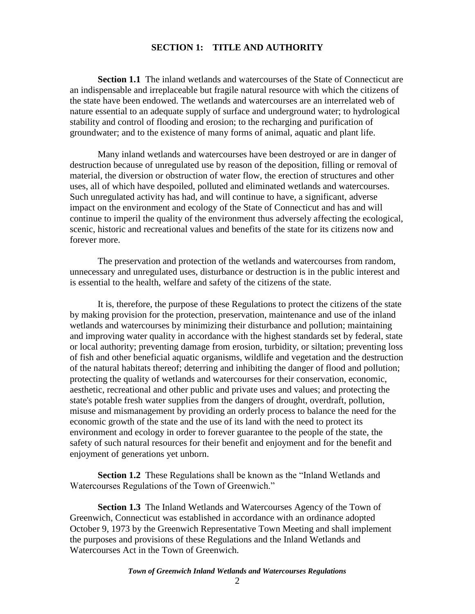## **SECTION 1: TITLE AND AUTHORITY**

**Section 1.1** The inland wetlands and watercourses of the State of Connecticut are an indispensable and irreplaceable but fragile natural resource with which the citizens of the state have been endowed. The wetlands and watercourses are an interrelated web of nature essential to an adequate supply of surface and underground water; to hydrological stability and control of flooding and erosion; to the recharging and purification of groundwater; and to the existence of many forms of animal, aquatic and plant life.

Many inland wetlands and watercourses have been destroyed or are in danger of destruction because of unregulated use by reason of the deposition, filling or removal of material, the diversion or obstruction of water flow, the erection of structures and other uses, all of which have despoiled, polluted and eliminated wetlands and watercourses. Such unregulated activity has had, and will continue to have, a significant, adverse impact on the environment and ecology of the State of Connecticut and has and will continue to imperil the quality of the environment thus adversely affecting the ecological, scenic, historic and recreational values and benefits of the state for its citizens now and forever more.

The preservation and protection of the wetlands and watercourses from random, unnecessary and unregulated uses, disturbance or destruction is in the public interest and is essential to the health, welfare and safety of the citizens of the state.

It is, therefore, the purpose of these Regulations to protect the citizens of the state by making provision for the protection, preservation, maintenance and use of the inland wetlands and watercourses by minimizing their disturbance and pollution; maintaining and improving water quality in accordance with the highest standards set by federal, state or local authority; preventing damage from erosion, turbidity, or siltation; preventing loss of fish and other beneficial aquatic organisms, wildlife and vegetation and the destruction of the natural habitats thereof; deterring and inhibiting the danger of flood and pollution; protecting the quality of wetlands and watercourses for their conservation, economic, aesthetic, recreational and other public and private uses and values; and protecting the state's potable fresh water supplies from the dangers of drought, overdraft, pollution, misuse and mismanagement by providing an orderly process to balance the need for the economic growth of the state and the use of its land with the need to protect its environment and ecology in order to forever guarantee to the people of the state, the safety of such natural resources for their benefit and enjoyment and for the benefit and enjoyment of generations yet unborn.

**Section 1.2** These Regulations shall be known as the "Inland Wetlands and Watercourses Regulations of the Town of Greenwich."

**Section 1.3** The Inland Wetlands and Watercourses Agency of the Town of Greenwich, Connecticut was established in accordance with an ordinance adopted October 9, 1973 by the Greenwich Representative Town Meeting and shall implement the purposes and provisions of these Regulations and the Inland Wetlands and Watercourses Act in the Town of Greenwich.

#### *Town of Greenwich Inland Wetlands and Watercourses Regulations*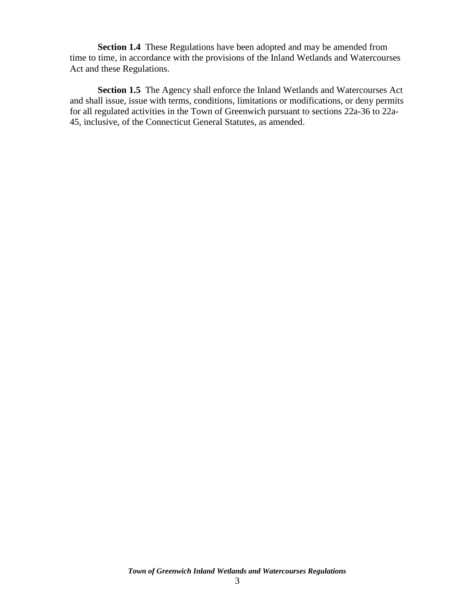**Section 1.4** These Regulations have been adopted and may be amended from time to time, in accordance with the provisions of the Inland Wetlands and Watercourses Act and these Regulations.

**Section 1.5** The Agency shall enforce the Inland Wetlands and Watercourses Act and shall issue, issue with terms, conditions, limitations or modifications, or deny permits for all regulated activities in the Town of Greenwich pursuant to sections 22a-36 to 22a-45, inclusive, of the Connecticut General Statutes, as amended.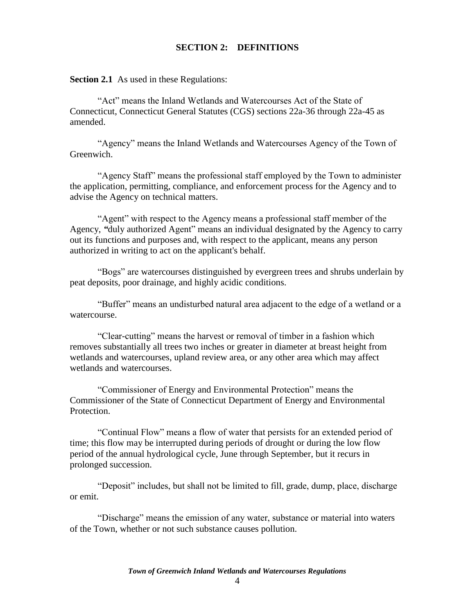### **SECTION 2: DEFINITIONS**

<span id="page-4-0"></span>**Section 2.1** As used in these Regulations:

"Act" means the Inland Wetlands and Watercourses Act of the State of Connecticut, Connecticut General Statutes (CGS) sections 22a-36 through 22a-45 as amended.

"Agency" means the Inland Wetlands and Watercourses Agency of the Town of Greenwich.

"Agency Staff" means the professional staff employed by the Town to administer the application, permitting, compliance, and enforcement process for the Agency and to advise the Agency on technical matters.

"Agent" with respect to the Agency means a professional staff member of the Agency, *"*duly authorized Agent" means an individual designated by the Agency to carry out its functions and purposes and, with respect to the applicant, means any person authorized in writing to act on the applicant's behalf.

"Bogs" are watercourses distinguished by evergreen trees and shrubs underlain by peat deposits, poor drainage, and highly acidic conditions.

"Buffer" means an undisturbed natural area adjacent to the edge of a wetland or a watercourse.

"Clear-cutting" means the harvest or removal of timber in a fashion which removes substantially all trees two inches or greater in diameter at breast height from wetlands and watercourses, upland review area, or any other area which may affect wetlands and watercourses.

"Commissioner of Energy and Environmental Protection" means the Commissioner of the State of Connecticut Department of Energy and Environmental Protection.

"Continual Flow" means a flow of water that persists for an extended period of time; this flow may be interrupted during periods of drought or during the low flow period of the annual hydrological cycle, June through September, but it recurs in prolonged succession.

"Deposit" includes, but shall not be limited to fill, grade, dump, place, discharge or emit.

"Discharge" means the emission of any water, substance or material into waters of the Town, whether or not such substance causes pollution.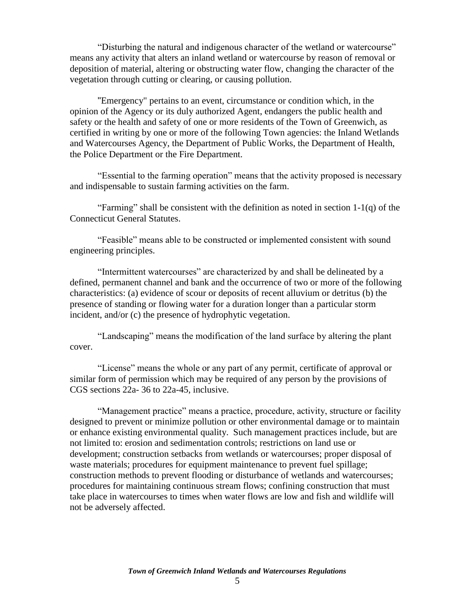"Disturbing the natural and indigenous character of the wetland or watercourse" means any activity that alters an inland wetland or watercourse by reason of removal or deposition of material, altering or obstructing water flow, changing the character of the vegetation through cutting or clearing, or causing pollution.

"Emergency" pertains to an event, circumstance or condition which, in the opinion of the Agency or its duly authorized Agent, endangers the public health and safety or the health and safety of one or more residents of the Town of Greenwich, as certified in writing by one or more of the following Town agencies: the Inland Wetlands and Watercourses Agency, the Department of Public Works, the Department of Health, the Police Department or the Fire Department.

"Essential to the farming operation" means that the activity proposed is necessary and indispensable to sustain farming activities on the farm.

"Farming" shall be consistent with the definition as noted in section  $1-1(q)$  of the Connecticut General Statutes.

"Feasible" means able to be constructed or implemented consistent with sound engineering principles.

"Intermittent watercourses" are characterized by and shall be delineated by a defined, permanent channel and bank and the occurrence of two or more of the following characteristics: (a) evidence of scour or deposits of recent alluvium or detritus (b) the presence of standing or flowing water for a duration longer than a particular storm incident, and/or (c) the presence of hydrophytic vegetation.

"Landscaping" means the modification of the land surface by altering the plant cover.

"License" means the whole or any part of any permit, certificate of approval or similar form of permission which may be required of any person by the provisions of CGS sections 22a- 36 to 22a-45, inclusive.

"Management practice" means a practice, procedure, activity, structure or facility designed to prevent or minimize pollution or other environmental damage or to maintain or enhance existing environmental quality. Such management practices include, but are not limited to: erosion and sedimentation controls; restrictions on land use or development; construction setbacks from wetlands or watercourses; proper disposal of waste materials; procedures for equipment maintenance to prevent fuel spillage; construction methods to prevent flooding or disturbance of wetlands and watercourses; procedures for maintaining continuous stream flows; confining construction that must take place in watercourses to times when water flows are low and fish and wildlife will not be adversely affected.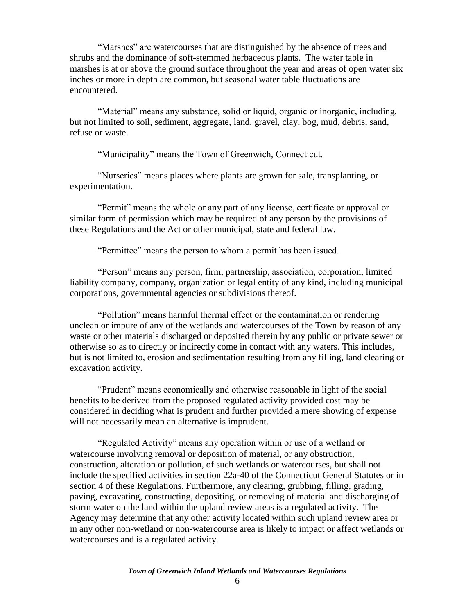"Marshes" are watercourses that are distinguished by the absence of trees and shrubs and the dominance of soft-stemmed herbaceous plants. The water table in marshes is at or above the ground surface throughout the year and areas of open water six inches or more in depth are common, but seasonal water table fluctuations are encountered.

"Material" means any substance, solid or liquid, organic or inorganic, including, but not limited to soil, sediment, aggregate, land, gravel, clay, bog, mud, debris, sand, refuse or waste.

"Municipality" means the Town of Greenwich, Connecticut.

"Nurseries" means places where plants are grown for sale, transplanting, or experimentation.

"Permit" means the whole or any part of any license, certificate or approval or similar form of permission which may be required of any person by the provisions of these Regulations and the Act or other municipal, state and federal law.

"Permittee" means the person to whom a permit has been issued.

"Person" means any person, firm, partnership, association, corporation, limited liability company, company, organization or legal entity of any kind, including municipal corporations, governmental agencies or subdivisions thereof.

"Pollution" means harmful thermal effect or the contamination or rendering unclean or impure of any of the wetlands and watercourses of the Town by reason of any waste or other materials discharged or deposited therein by any public or private sewer or otherwise so as to directly or indirectly come in contact with any waters. This includes, but is not limited to, erosion and sedimentation resulting from any filling, land clearing or excavation activity.

"Prudent" means economically and otherwise reasonable in light of the social benefits to be derived from the proposed regulated activity provided cost may be considered in deciding what is prudent and further provided a mere showing of expense will not necessarily mean an alternative is imprudent.

"Regulated Activity" means any operation within or use of a wetland or watercourse involving removal or deposition of material, or any obstruction, construction, alteration or pollution, of such wetlands or watercourses, but shall not include the specified activities in section 22a-40 of the Connecticut General Statutes or in section 4 of these Regulations. Furthermore, any clearing, grubbing, filling, grading, paving, excavating, constructing, depositing, or removing of material and discharging of storm water on the land within the upland review areas is a regulated activity. The Agency may determine that any other activity located within such upland review area or in any other non-wetland or non-watercourse area is likely to impact or affect wetlands or watercourses and is a regulated activity.

*Town of Greenwich Inland Wetlands and Watercourses Regulations*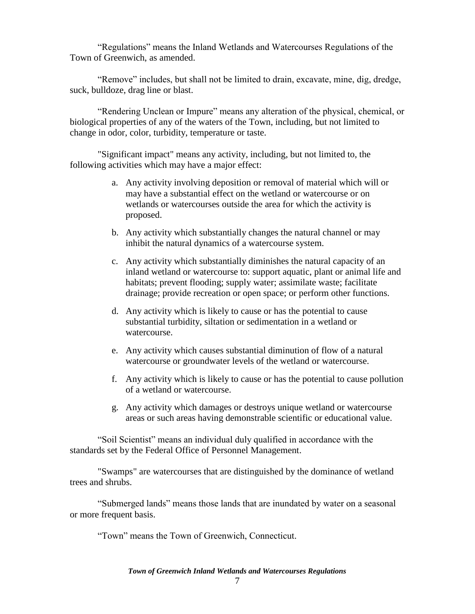"Regulations" means the Inland Wetlands and Watercourses Regulations of the Town of Greenwich, as amended.

"Remove" includes, but shall not be limited to drain, excavate, mine, dig, dredge, suck, bulldoze, drag line or blast.

"Rendering Unclean or Impure" means any alteration of the physical, chemical, or biological properties of any of the waters of the Town, including, but not limited to change in odor, color, turbidity, temperature or taste.

"Significant impact" means any activity, including, but not limited to, the following activities which may have a major effect:

- a. Any activity involving deposition or removal of material which will or may have a substantial effect on the wetland or watercourse or on wetlands or watercourses outside the area for which the activity is proposed.
- b. Any activity which substantially changes the natural channel or may inhibit the natural dynamics of a watercourse system.
- c. Any activity which substantially diminishes the natural capacity of an inland wetland or watercourse to: support aquatic, plant or animal life and habitats; prevent flooding; supply water; assimilate waste; facilitate drainage; provide recreation or open space; or perform other functions.
- d. Any activity which is likely to cause or has the potential to cause substantial turbidity, siltation or sedimentation in a wetland or watercourse.
- e. Any activity which causes substantial diminution of flow of a natural watercourse or groundwater levels of the wetland or watercourse.
- f. Any activity which is likely to cause or has the potential to cause pollution of a wetland or watercourse.
- g. Any activity which damages or destroys unique wetland or watercourse areas or such areas having demonstrable scientific or educational value.

"Soil Scientist" means an individual duly qualified in accordance with the standards set by the Federal Office of Personnel Management.

"Swamps" are watercourses that are distinguished by the dominance of wetland trees and shrubs.

"Submerged lands" means those lands that are inundated by water on a seasonal or more frequent basis.

"Town" means the Town of Greenwich, Connecticut.

*Town of Greenwich Inland Wetlands and Watercourses Regulations*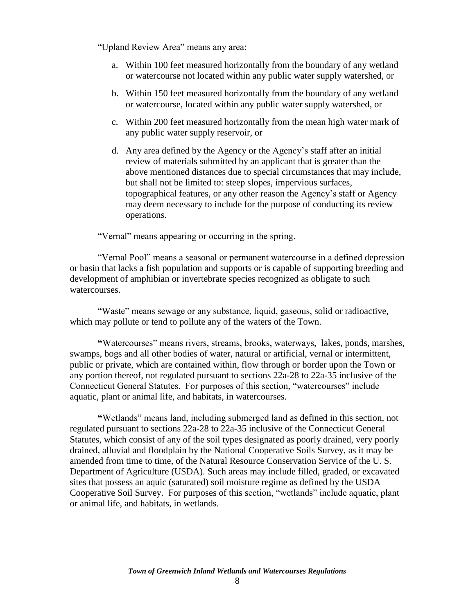"Upland Review Area" means any area:

- a. Within 100 feet measured horizontally from the boundary of any wetland or watercourse not located within any public water supply watershed, or
- b. Within 150 feet measured horizontally from the boundary of any wetland or watercourse, located within any public water supply watershed, or
- c. Within 200 feet measured horizontally from the mean high water mark of any public water supply reservoir, or
- d. Any area defined by the Agency or the Agency's staff after an initial review of materials submitted by an applicant that is greater than the above mentioned distances due to special circumstances that may include, but shall not be limited to: steep slopes, impervious surfaces, topographical features, or any other reason the Agency's staff or Agency may deem necessary to include for the purpose of conducting its review operations.

"Vernal" means appearing or occurring in the spring.

"Vernal Pool" means a seasonal or permanent watercourse in a defined depression or basin that lacks a fish population and supports or is capable of supporting breeding and development of amphibian or invertebrate species recognized as obligate to such watercourses.

"Waste" means sewage or any substance, liquid, gaseous, solid or radioactive, which may pollute or tend to pollute any of the waters of the Town.

**"**Watercourses" means rivers, streams, brooks, waterways, lakes, ponds, marshes, swamps, bogs and all other bodies of water, natural or artificial, vernal or intermittent, public or private, which are contained within, flow through or border upon the Town or any portion thereof, not regulated pursuant to sections 22a-28 to 22a-35 inclusive of the Connecticut General Statutes. For purposes of this section, "watercourses" include aquatic, plant or animal life, and habitats, in watercourses.

<span id="page-8-0"></span>**"**Wetlands" means land, including submerged land as defined in this section, not regulated pursuant to sections 22a-28 to 22a-35 inclusive of the Connecticut General Statutes*,* which consist of any of the soil types designated as poorly drained, very poorly drained, alluvial and floodplain by the National Cooperative Soils Survey, as it may be amended from time to time, of the Natural Resource Conservation Service of the U. S. Department of Agriculture (USDA). Such areas may include filled, graded, or excavated sites that possess an aquic (saturated) soil moisture regime as defined by the USDA Cooperative Soil Survey. For purposes of this section, "wetlands" include aquatic, plant or animal life, and habitats, in wetlands.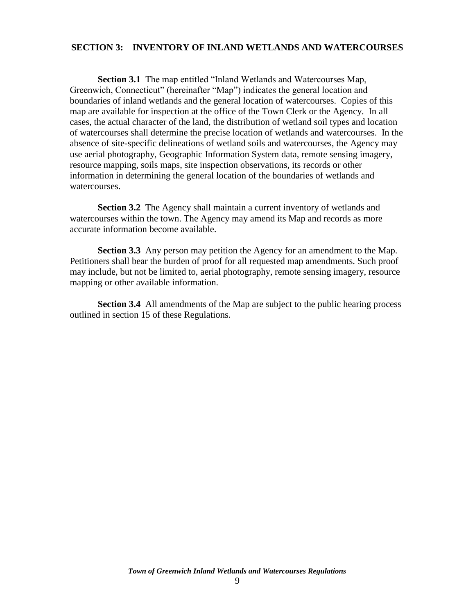### **SECTION 3: INVENTORY OF INLAND WETLANDS AND WATERCOURSES**

**Section 3.1** The map entitled "Inland Wetlands and Watercourses Map, Greenwich, Connecticut" (hereinafter "Map") indicates the general location and boundaries of inland wetlands and the general location of watercourses. Copies of this map are available for inspection at the office of the Town Clerk or the Agency. In all cases, the actual character of the land, the distribution of wetland soil types and location of watercourses shall determine the precise location of wetlands and watercourses. In the absence of site-specific delineations of wetland soils and watercourses, the Agency may use aerial photography, Geographic Information System data, remote sensing imagery, resource mapping, soils maps, site inspection observations, its records or other information in determining the general location of the boundaries of wetlands and watercourses.

**Section 3.2** The Agency shall maintain a current inventory of wetlands and watercourses within the town. The Agency may amend its Map and records as more accurate information become available.

**Section 3.3** Any person may petition the Agency for an amendment to the Map. Petitioners shall bear the burden of proof for all requested map amendments. Such proof may include, but not be limited to, aerial photography, remote sensing imagery, resource mapping or other available information.

**Section 3.4** All amendments of the Map are subject to the public hearing process outlined in section 15 of these Regulations.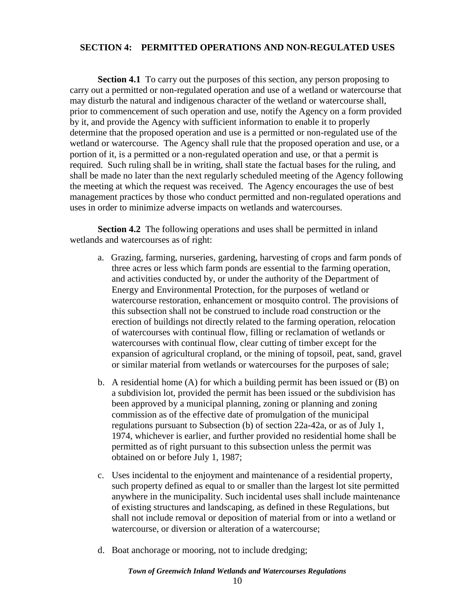## **SECTION 4: PERMITTED OPERATIONS AND NON-REGULATED USES**

**Section 4.1** To carry out the purposes of this section, any person proposing to carry out a permitted or non-regulated operation and use of a wetland or watercourse that may disturb the natural and indigenous character of the wetland or watercourse shall, prior to commencement of such operation and use, notify the Agency on a form provided by it, and provide the Agency with sufficient information to enable it to properly determine that the proposed operation and use is a permitted or non-regulated use of the wetland or watercourse. The Agency shall rule that the proposed operation and use, or a portion of it, is a permitted or a non-regulated operation and use, or that a permit is required. Such ruling shall be in writing, shall state the factual bases for the ruling, and shall be made no later than the next regularly scheduled meeting of the Agency following the meeting at which the request was received. The Agency encourages the use of best management practices by those who conduct permitted and non-regulated operations and uses in order to minimize adverse impacts on wetlands and watercourses.

**Section 4.2** The following operations and uses shall be permitted in inland wetlands and watercourses as of right:

- a. Grazing, farming, nurseries, gardening, harvesting of crops and farm ponds of three acres or less which farm ponds are essential to the farming operation, and activities conducted by, or under the authority of the Department of Energy and Environmental Protection, for the purposes of wetland or watercourse restoration, enhancement or mosquito control. The provisions of this subsection shall not be construed to include road construction or the erection of buildings not directly related to the farming operation, relocation of watercourses with continual flow, filling or reclamation of wetlands or watercourses with continual flow, clear cutting of timber except for the expansion of agricultural cropland, or the mining of topsoil, peat, sand, gravel or similar material from wetlands or watercourses for the purposes of sale;
- b. A residential home  $(A)$  for which a building permit has been issued or  $(B)$  on a subdivision lot, provided the permit has been issued or the subdivision has been approved by a municipal planning, zoning or planning and zoning commission as of the effective date of promulgation of the municipal regulations pursuant to Subsection (b) of section 22a-42a, or as of July 1, 1974, whichever is earlier, and further provided no residential home shall be permitted as of right pursuant to this subsection unless the permit was obtained on or before July 1, 1987;
- c. Uses incidental to the enjoyment and maintenance of a residential property, such property defined as equal to or smaller than the largest lot site permitted anywhere in the municipality. Such incidental uses shall include maintenance of existing structures and landscaping, as defined in these Regulations, but shall not include removal or deposition of material from or into a wetland or watercourse, or diversion or alteration of a watercourse;
- d. Boat anchorage or mooring, not to include dredging;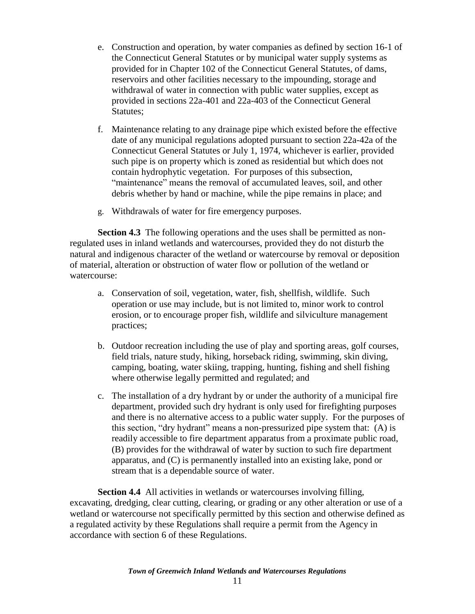- e. Construction and operation, by water companies as defined by section 16-1 of the Connecticut General Statutes or by municipal water supply systems as provided for in Chapter 102 of the Connecticut General Statutes, of dams, reservoirs and other facilities necessary to the impounding, storage and withdrawal of water in connection with public water supplies, except as provided in sections 22a-401 and 22a-403 of the Connecticut General Statutes;
- f. Maintenance relating to any drainage pipe which existed before the effective date of any municipal regulations adopted pursuant to section 22a-42a of the Connecticut General Statutes or July 1, 1974, whichever is earlier, provided such pipe is on property which is zoned as residential but which does not contain hydrophytic vegetation. For purposes of this subsection, "maintenance" means the removal of accumulated leaves, soil, and other debris whether by hand or machine, while the pipe remains in place; and
- g. Withdrawals of water for fire emergency purposes.

**Section 4.3** The following operations and the uses shall be permitted as nonregulated uses in inland wetlands and watercourses, provided they do not disturb the natural and indigenous character of the wetland or watercourse by removal or deposition of material, alteration or obstruction of water flow or pollution of the wetland or watercourse:

- a. Conservation of soil, vegetation, water, fish, shellfish, wildlife. Such operation or use may include, but is not limited to, minor work to control erosion, or to encourage proper fish, wildlife and silviculture management practices;
- b. Outdoor recreation including the use of play and sporting areas, golf courses, field trials, nature study, hiking, horseback riding, swimming, skin diving, camping, boating, water skiing, trapping, hunting, fishing and shell fishing where otherwise legally permitted and regulated; and
- c. The installation of a dry hydrant by or under the authority of a municipal fire department, provided such dry hydrant is only used for firefighting purposes and there is no alternative access to a public water supply. For the purposes of this section, "dry hydrant" means a non-pressurized pipe system that: (A) is readily accessible to fire department apparatus from a proximate public road, (B) provides for the withdrawal of water by suction to such fire department apparatus, and (C) is permanently installed into an existing lake, pond or stream that is a dependable source of water.

**Section 4.4** All activities in wetlands or watercourses involving filling, excavating, dredging, clear cutting, clearing, or grading or any other alteration or use of a wetland or watercourse not specifically permitted by this section and otherwise defined as a regulated activity by these Regulations shall require a permit from the Agency in accordance with section 6 of these Regulations.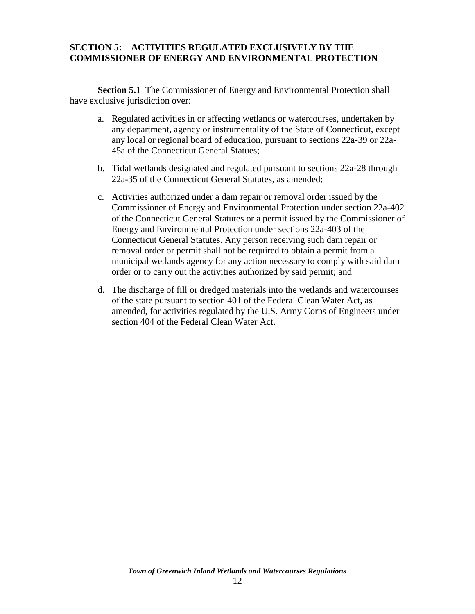## **SECTION 5: ACTIVITIES REGULATED EXCLUSIVELY BY THE COMMISSIONER OF ENERGY AND ENVIRONMENTAL PROTECTION**

**Section 5.1** The Commissioner of Energy and Environmental Protection shall have exclusive jurisdiction over:

- a. Regulated activities in or affecting wetlands or watercourses, undertaken by any department, agency or instrumentality of the State of Connecticut, except any local or regional board of education, pursuant to sections 22a-39 or 22a-45a of the Connecticut General Statues;
- b. Tidal wetlands designated and regulated pursuant to sections 22a-28 through 22a-35 of the Connecticut General Statutes, as amended;
- c. Activities authorized under a dam repair or removal order issued by the Commissioner of Energy and Environmental Protection under section 22a-402 of the Connecticut General Statutes or a permit issued by the Commissioner of Energy and Environmental Protection under sections 22a-403 of the Connecticut General Statutes. Any person receiving such dam repair or removal order or permit shall not be required to obtain a permit from a municipal wetlands agency for any action necessary to comply with said dam order or to carry out the activities authorized by said permit; and
- d. The discharge of fill or dredged materials into the wetlands and watercourses of the state pursuant to section 401 of the Federal Clean Water Act, as amended, for activities regulated by the U.S. Army Corps of Engineers under section 404 of the Federal Clean Water Act.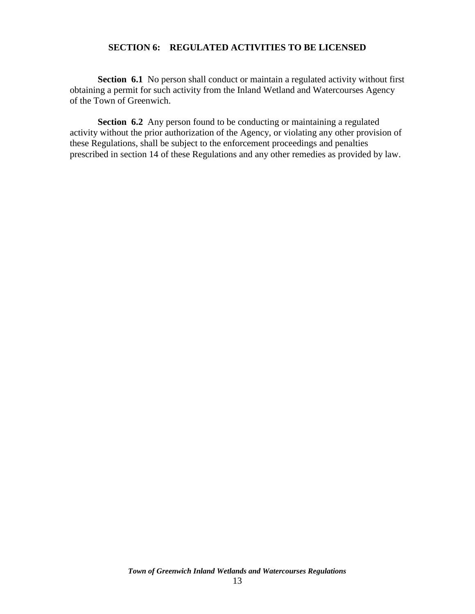## **SECTION 6: REGULATED ACTIVITIES TO BE LICENSED**

**Section 6.1** No person shall conduct or maintain a regulated activity without first obtaining a permit for such activity from the Inland Wetland and Watercourses Agency of the Town of Greenwich.

**Section 6.2** Any person found to be conducting or maintaining a regulated activity without the prior authorization of the Agency, or violating any other provision of these Regulations, shall be subject to the enforcement proceedings and penalties prescribed in section 14 of these Regulations and any other remedies as provided by law.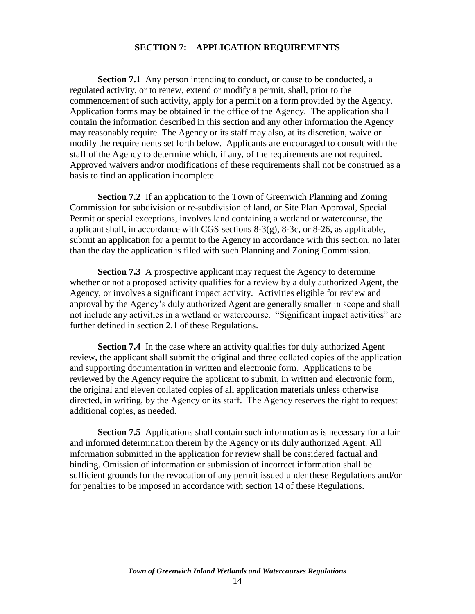#### **SECTION 7: APPLICATION REQUIREMENTS**

**Section 7.1** Any person intending to conduct, or cause to be conducted, a regulated activity, or to renew, extend or modify a permit, shall, prior to the commencement of such activity, apply for a permit on a form provided by the Agency. Application forms may be obtained in the office of the Agency. The application shall contain the information described in this section and any other information the Agency may reasonably require. The Agency or its staff may also, at its discretion, waive or modify the requirements set forth below. Applicants are encouraged to consult with the staff of the Agency to determine which, if any, of the requirements are not required. Approved waivers and/or modifications of these requirements shall not be construed as a basis to find an application incomplete.

**Section 7.2** If an application to the Town of Greenwich Planning and Zoning Commission for subdivision or re-subdivision of land, or Site Plan Approval, Special Permit or special exceptions, involves land containing a wetland or watercourse, the applicant shall, in accordance with CGS sections 8-3(g), 8-3c, or 8-26, as applicable, submit an application for a permit to the Agency in accordance with this section, no later than the day the application is filed with such Planning and Zoning Commission.

**Section 7.3** A prospective applicant may request the Agency to determine whether or not a proposed activity qualifies for a review by a duly authorized Agent, the Agency, or involves a significant impact activity. Activities eligible for review and approval by the Agency's duly authorized Agent are generally smaller in scope and shall not include any activities in a wetland or watercourse. "Significant impact activities" are further defined in section 2.1 of these Regulations.

**Section 7.4** In the case where an activity qualifies for duly authorized Agent review, the applicant shall submit the original and three collated copies of the application and supporting documentation in written and electronic form. Applications to be reviewed by the Agency require the applicant to submit, in written and electronic form, the original and eleven collated copies of all application materials unless otherwise directed, in writing, by the Agency or its staff. The Agency reserves the right to request additional copies, as needed.

**Section 7.5** Applications shall contain such information as is necessary for a fair and informed determination therein by the Agency or its duly authorized Agent. All information submitted in the application for review shall be considered factual and binding. Omission of information or submission of incorrect information shall be sufficient grounds for the revocation of any permit issued under these Regulations and/or for penalties to be imposed in accordance with section 14 of these Regulations.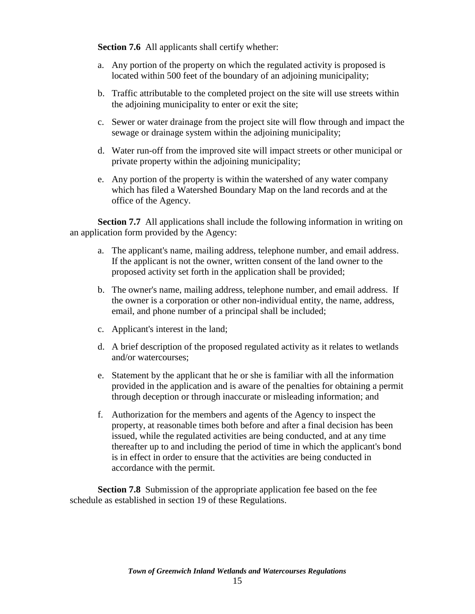**Section 7.6** All applicants shall certify whether:

- a. Any portion of the property on which the regulated activity is proposed is located within 500 feet of the boundary of an adjoining municipality;
- b. Traffic attributable to the completed project on the site will use streets within the adjoining municipality to enter or exit the site;
- c. Sewer or water drainage from the project site will flow through and impact the sewage or drainage system within the adjoining municipality;
- d. Water run-off from the improved site will impact streets or other municipal or private property within the adjoining municipality;
- e. Any portion of the property is within the watershed of any water company which has filed a Watershed Boundary Map on the land records and at the office of the Agency.

**Section 7.7** All applications shall include the following information in writing on an application form provided by the Agency:

- a. The applicant's name, mailing address, telephone number, and email address. If the applicant is not the owner, written consent of the land owner to the proposed activity set forth in the application shall be provided;
- b. The owner's name, mailing address, telephone number, and email address. If the owner is a corporation or other non-individual entity, the name, address, email, and phone number of a principal shall be included;
- c. Applicant's interest in the land;
- d. A brief description of the proposed regulated activity as it relates to wetlands and/or watercourses;
- e. Statement by the applicant that he or she is familiar with all the information provided in the application and is aware of the penalties for obtaining a permit through deception or through inaccurate or misleading information; and
- f. Authorization for the members and agents of the Agency to inspect the property, at reasonable times both before and after a final decision has been issued, while the regulated activities are being conducted, and at any time thereafter up to and including the period of time in which the applicant's bond is in effect in order to ensure that the activities are being conducted in accordance with the permit.

**Section 7.8** Submission of the appropriate application fee based on the fee schedule as established in section 19 of these Regulations.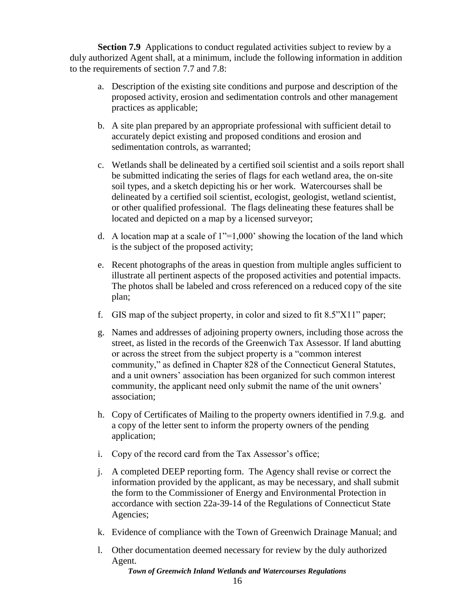**Section 7.9** Applications to conduct regulated activities subject to review by a duly authorized Agent shall, at a minimum, include the following information in addition to the requirements of section 7.7 and 7.8:

- a. Description of the existing site conditions and purpose and description of the proposed activity, erosion and sedimentation controls and other management practices as applicable;
- b. A site plan prepared by an appropriate professional with sufficient detail to accurately depict existing and proposed conditions and erosion and sedimentation controls, as warranted;
- c. Wetlands shall be delineated by a certified soil scientist and a soils report shall be submitted indicating the series of flags for each wetland area, the on-site soil types, and a sketch depicting his or her work. Watercourses shall be delineated by a certified soil scientist, ecologist, geologist, wetland scientist, or other qualified professional. The flags delineating these features shall be located and depicted on a map by a licensed surveyor;
- d. A location map at a scale of  $1''=1,000'$  showing the location of the land which is the subject of the proposed activity;
- e. Recent photographs of the areas in question from multiple angles sufficient to illustrate all pertinent aspects of the proposed activities and potential impacts. The photos shall be labeled and cross referenced on a reduced copy of the site plan;
- f. GIS map of the subject property, in color and sized to fit 8.5"X11" paper;
- g. Names and addresses of adjoining property owners, including those across the street, as listed in the records of the Greenwich Tax Assessor. If land abutting or across the street from the subject property is a "common interest community," as defined in Chapter 828 of the Connecticut General Statutes, and a unit owners' association has been organized for such common interest community, the applicant need only submit the name of the unit owners' association;
- h. Copy of Certificates of Mailing to the property owners identified in 7.9.g. and a copy of the letter sent to inform the property owners of the pending application;
- i. Copy of the record card from the Tax Assessor's office;
- j. A completed DEEP reporting form. The Agency shall revise or correct the information provided by the applicant, as may be necessary, and shall submit the form to the Commissioner of Energy and Environmental Protection in accordance with section 22a-39-14 of the Regulations of Connecticut State Agencies;
- k. Evidence of compliance with the Town of Greenwich Drainage Manual; and
- l. Other documentation deemed necessary for review by the duly authorized Agent.

*Town of Greenwich Inland Wetlands and Watercourses Regulations*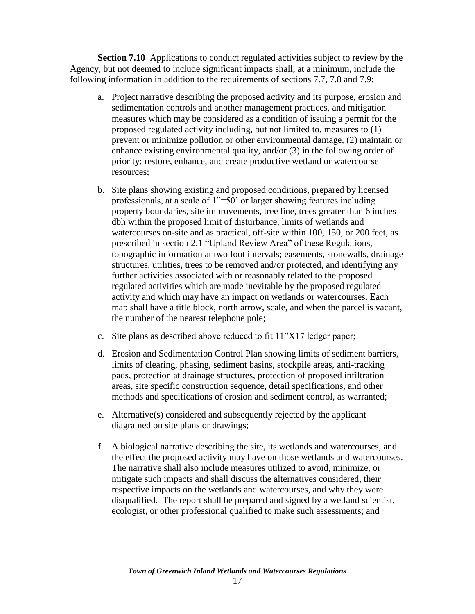**Section 7.10** Applications to conduct regulated activities subject to review by the Agency, but not deemed to include significant impacts shall, at a minimum, include the following information in addition to the requirements of sections 7.7, 7.8 and 7.9:

- a. Project narrative describing the proposed activity and its purpose, erosion and sedimentation controls and another management practices, and mitigation measures which may be considered as a condition of issuing a permit for the proposed regulated activity including, but not limited to, measures to (1) prevent or minimize pollution or other environmental damage, (2) maintain or enhance existing environmental quality, and/or (3) in the following order of priority: restore, enhance, and create productive wetland or watercourse resources;
- b. Site plans showing existing and proposed conditions, prepared by licensed professionals, at a scale of 1"=50' or larger showing features including property boundaries, site improvements, tree line, trees greater than 6 inches dbh within the proposed limit of disturbance, limits of wetlands and watercourses on-site and as practical, off-site within 100, 150, or 200 feet, as prescribed in section 2.1 "Upland Review Area" of these Regulations, topographic information at two foot intervals; easements, stonewalls, drainage structures, utilities, trees to be removed and/or protected, and identifying any further activities associated with or reasonably related to the proposed regulated activities which are made inevitable by the proposed regulated activity and which may have an impact on wetlands or watercourses. Each map shall have a title block, north arrow, scale, and when the parcel is vacant, the number of the nearest telephone pole;
- c. Site plans as described above reduced to fit 11"X17 ledger paper;
- d. Erosion and Sedimentation Control Plan showing limits of sediment barriers, limits of clearing, phasing, sediment basins, stockpile areas, anti-tracking pads, protection at drainage structures, protection of proposed infiltration areas, site specific construction sequence, detail specifications, and other methods and specifications of erosion and sediment control, as warranted;
- e. Alternative(s) considered and subsequently rejected by the applicant diagramed on site plans or drawings;
- f. A biological narrative describing the site, its wetlands and watercourses, and the effect the proposed activity may have on those wetlands and watercourses. The narrative shall also include measures utilized to avoid, minimize, or mitigate such impacts and shall discuss the alternatives considered, their respective impacts on the wetlands and watercourses, and why they were disqualified. The report shall be prepared and signed by a wetland scientist, ecologist, or other professional qualified to make such assessments; and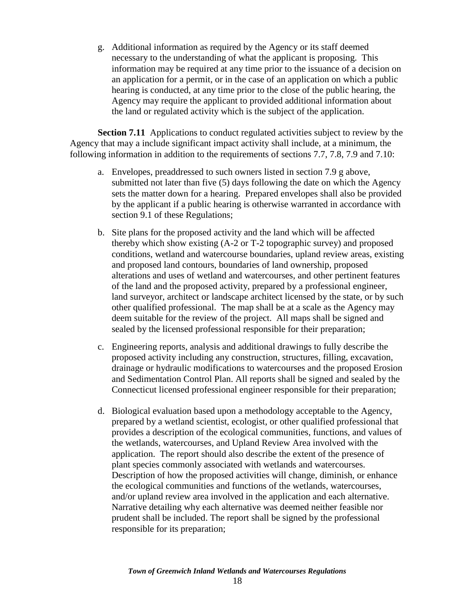g. Additional information as required by the Agency or its staff deemed necessary to the understanding of what the applicant is proposing. This information may be required at any time prior to the issuance of a decision on an application for a permit, or in the case of an application on which a public hearing is conducted, at any time prior to the close of the public hearing, the Agency may require the applicant to provided additional information about the land or regulated activity which is the subject of the application.

**Section 7.11** Applications to conduct regulated activities subject to review by the Agency that may a include significant impact activity shall include, at a minimum, the following information in addition to the requirements of sections 7.7, 7.8, 7.9 and 7.10:

- a. Envelopes, preaddressed to such owners listed in section 7.9 g above, submitted not later than five (5) days following the date on which the Agency sets the matter down for a hearing. Prepared envelopes shall also be provided by the applicant if a public hearing is otherwise warranted in accordance with section 9.1 of these Regulations;
- b. Site plans for the proposed activity and the land which will be affected thereby which show existing (A-2 or T-2 topographic survey) and proposed conditions, wetland and watercourse boundaries, upland review areas, existing and proposed land contours, boundaries of land ownership, proposed alterations and uses of wetland and watercourses, and other pertinent features of the land and the proposed activity, prepared by a professional engineer, land surveyor, architect or landscape architect licensed by the state, or by such other qualified professional. The map shall be at a scale as the Agency may deem suitable for the review of the project. All maps shall be signed and sealed by the licensed professional responsible for their preparation;
- c. Engineering reports, analysis and additional drawings to fully describe the proposed activity including any construction, structures, filling, excavation, drainage or hydraulic modifications to watercourses and the proposed Erosion and Sedimentation Control Plan. All reports shall be signed and sealed by the Connecticut licensed professional engineer responsible for their preparation;
- d. Biological evaluation based upon a methodology acceptable to the Agency, prepared by a wetland scientist, ecologist, or other qualified professional that provides a description of the ecological communities, functions, and values of the wetlands, watercourses, and Upland Review Area involved with the application. The report should also describe the extent of the presence of plant species commonly associated with wetlands and watercourses. Description of how the proposed activities will change, diminish, or enhance the ecological communities and functions of the wetlands, watercourses, and/or upland review area involved in the application and each alternative. Narrative detailing why each alternative was deemed neither feasible nor prudent shall be included. The report shall be signed by the professional responsible for its preparation;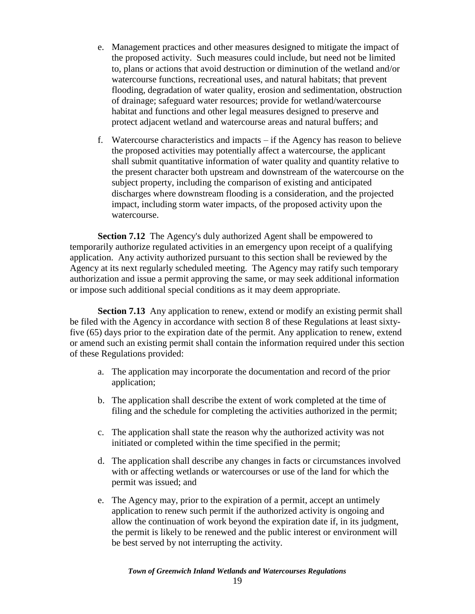- e. Management practices and other measures designed to mitigate the impact of the proposed activity. Such measures could include, but need not be limited to, plans or actions that avoid destruction or diminution of the wetland and/or watercourse functions, recreational uses, and natural habitats; that prevent flooding, degradation of water quality, erosion and sedimentation, obstruction of drainage; safeguard water resources; provide for wetland/watercourse habitat and functions and other legal measures designed to preserve and protect adjacent wetland and watercourse areas and natural buffers; and
- f. Watercourse characteristics and impacts if the Agency has reason to believe the proposed activities may potentially affect a watercourse, the applicant shall submit quantitative information of water quality and quantity relative to the present character both upstream and downstream of the watercourse on the subject property, including the comparison of existing and anticipated discharges where downstream flooding is a consideration, and the projected impact, including storm water impacts, of the proposed activity upon the watercourse.

**Section 7.12** The Agency's duly authorized Agent shall be empowered to temporarily authorize regulated activities in an emergency upon receipt of a qualifying application. Any activity authorized pursuant to this section shall be reviewed by the Agency at its next regularly scheduled meeting. The Agency may ratify such temporary authorization and issue a permit approving the same, or may seek additional information or impose such additional special conditions as it may deem appropriate.

**Section 7.13** Any application to renew, extend or modify an existing permit shall be filed with the Agency in accordance with section 8 of these Regulations at least sixtyfive (65) days prior to the expiration date of the permit. Any application to renew, extend or amend such an existing permit shall contain the information required under this section of these Regulations provided:

- a. The application may incorporate the documentation and record of the prior application;
- b. The application shall describe the extent of work completed at the time of filing and the schedule for completing the activities authorized in the permit;
- c. The application shall state the reason why the authorized activity was not initiated or completed within the time specified in the permit;
- d. The application shall describe any changes in facts or circumstances involved with or affecting wetlands or watercourses or use of the land for which the permit was issued; and
- e. The Agency may, prior to the expiration of a permit, accept an untimely application to renew such permit if the authorized activity is ongoing and allow the continuation of work beyond the expiration date if, in its judgment, the permit is likely to be renewed and the public interest or environment will be best served by not interrupting the activity.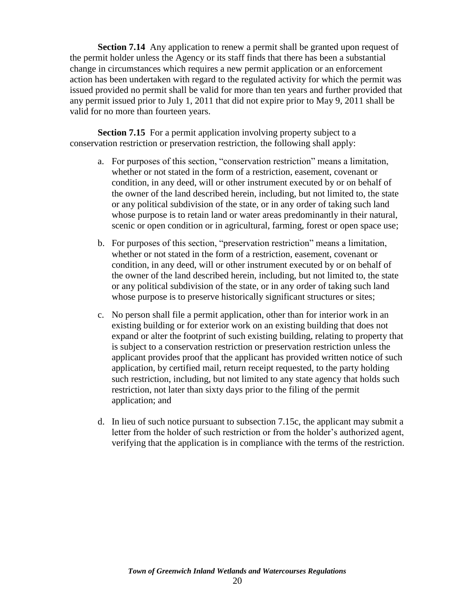**Section 7.14** Any application to renew a permit shall be granted upon request of the permit holder unless the Agency or its staff finds that there has been a substantial change in circumstances which requires a new permit application or an enforcement action has been undertaken with regard to the regulated activity for which the permit was issued provided no permit shall be valid for more than ten years and further provided that any permit issued prior to July 1, 2011 that did not expire prior to May 9, 2011 shall be valid for no more than fourteen years.

**Section 7.15** For a permit application involving property subject to a conservation restriction or preservation restriction, the following shall apply:

- a. For purposes of this section, "conservation restriction" means a limitation, whether or not stated in the form of a restriction, easement, covenant or condition, in any deed, will or other instrument executed by or on behalf of the owner of the land described herein, including, but not limited to, the state or any political subdivision of the state, or in any order of taking such land whose purpose is to retain land or water areas predominantly in their natural, scenic or open condition or in agricultural, farming, forest or open space use;
- b. For purposes of this section, "preservation restriction" means a limitation, whether or not stated in the form of a restriction, easement, covenant or condition, in any deed, will or other instrument executed by or on behalf of the owner of the land described herein, including, but not limited to, the state or any political subdivision of the state, or in any order of taking such land whose purpose is to preserve historically significant structures or sites;
- c. No person shall file a permit application, other than for interior work in an existing building or for exterior work on an existing building that does not expand or alter the footprint of such existing building, relating to property that is subject to a conservation restriction or preservation restriction unless the applicant provides proof that the applicant has provided written notice of such application, by certified mail, return receipt requested, to the party holding such restriction, including, but not limited to any state agency that holds such restriction, not later than sixty days prior to the filing of the permit application; and
- <span id="page-20-0"></span>d. In lieu of such notice pursuant to subsection 7.15c, the applicant may submit a letter from the holder of such restriction or from the holder's authorized agent, verifying that the application is in compliance with the terms of the restriction.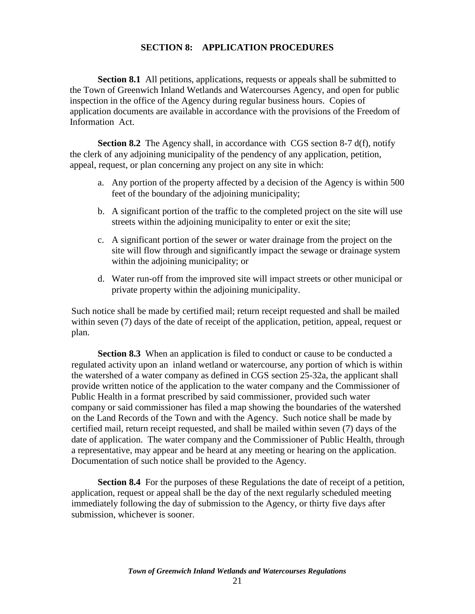## **SECTION 8: APPLICATION PROCEDURES**

**Section 8.1** All petitions, applications, requests or appeals shall be submitted to the Town of Greenwich Inland Wetlands and Watercourses Agency, and open for public inspection in the office of the Agency during regular business hours. Copies of application documents are available in accordance with the provisions of the Freedom of Information Act.

**Section 8.2** The Agency shall, in accordance with CGS section 8-7 d(f), notify the clerk of any adjoining municipality of the pendency of any application, petition, appeal, request, or plan concerning any project on any site in which:

- a. Any portion of the property affected by a decision of the Agency is within 500 feet of the boundary of the adjoining municipality;
- b. A significant portion of the traffic to the completed project on the site will use streets within the adjoining municipality to enter or exit the site;
- c. A significant portion of the sewer or water drainage from the project on the site will flow through and significantly impact the sewage or drainage system within the adjoining municipality; or
- d. Water run-off from the improved site will impact streets or other municipal or private property within the adjoining municipality.

Such notice shall be made by certified mail; return receipt requested and shall be mailed within seven (7) days of the date of receipt of the application, petition, appeal, request or plan.

**Section 8.3** When an application is filed to conduct or cause to be conducted a regulated activity upon an inland wetland or watercourse, any portion of which is within the watershed of a water company as defined in CGS section 25-32a, the applicant shall provide written notice of the application to the water company and the Commissioner of Public Health in a format prescribed by said commissioner, provided such water company or said commissioner has filed a map showing the boundaries of the watershed on the Land Records of the Town and with the Agency. Such notice shall be made by certified mail, return receipt requested, and shall be mailed within seven (7) days of the date of application. The water company and the Commissioner of Public Health, through a representative, may appear and be heard at any meeting or hearing on the application. Documentation of such notice shall be provided to the Agency.

**Section 8.4** For the purposes of these Regulations the date of receipt of a petition, application, request or appeal shall be the day of the next regularly scheduled meeting immediately following the day of submission to the Agency, or thirty five days after submission, whichever is sooner.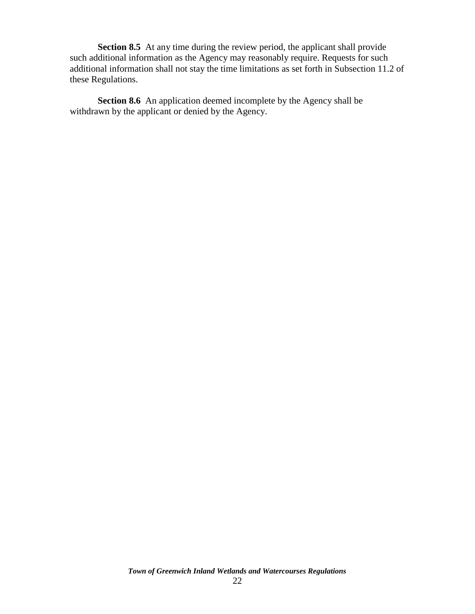**Section 8.5** At any time during the review period, the applicant shall provide such additional information as the Agency may reasonably require. Requests for such additional information shall not stay the time limitations as set forth in Subsection 11.2 of these Regulations.

**Section 8.6** An application deemed incomplete by the Agency shall be withdrawn by the applicant or denied by the Agency.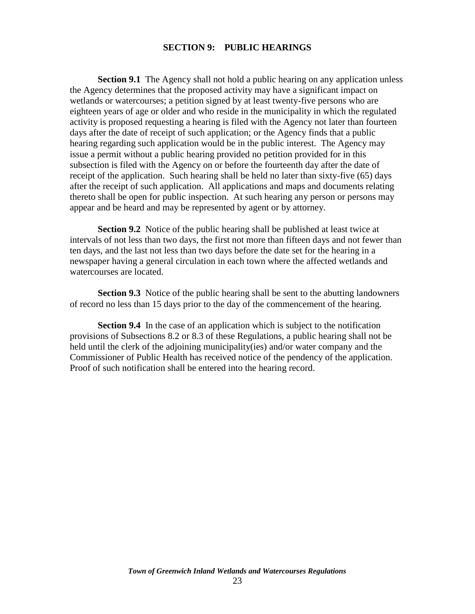#### **SECTION 9: PUBLIC HEARINGS**

<span id="page-23-0"></span>**Section 9.1** The Agency shall not hold a public hearing on any application unless the Agency determines that the proposed activity may have a significant impact on wetlands or watercourses; a petition signed by at least twenty-five persons who are eighteen years of age or older and who reside in the municipality in which the regulated activity is proposed requesting a hearing is filed with the Agency not later than fourteen days after the date of receipt of such application; or the Agency finds that a public hearing regarding such application would be in the public interest. The Agency may issue a permit without a public hearing provided no petition provided for in this subsection is filed with the Agency on or before the fourteenth day after the date of receipt of the application. Such hearing shall be held no later than sixty-five (65) days after the receipt of such application. All applications and maps and documents relating thereto shall be open for public inspection. At such hearing any person or persons may appear and be heard and may be represented by agent or by attorney.

**Section 9.2** Notice of the public hearing shall be published at least twice at intervals of not less than two days, the first not more than fifteen days and not fewer than ten days, and the last not less than two days before the date set for the hearing in a newspaper having a general circulation in each town where the affected wetlands and watercourses are located.

**Section 9.3** Notice of the public hearing shall be sent to the abutting landowners of record no less than 15 days prior to the day of the commencement of the hearing.

<span id="page-23-1"></span>**Section 9.4**In the case of an application which is subject to the notification provisions of Subsections 8.2 or 8.3 of these Regulations, a public hearing shall not be held until the clerk of the adjoining municipality(ies) and/or water company and the Commissioner of Public Health has received notice of the pendency of the application. Proof of such notification shall be entered into the hearing record.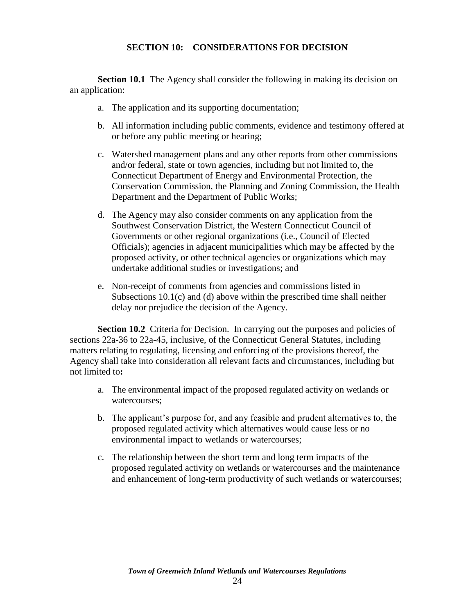## **SECTION 10: CONSIDERATIONS FOR DECISION**

**Section 10.1** The Agency shall consider the following in making its decision on an application:

- a. The application and its supporting documentation;
- b. All information including public comments, evidence and testimony offered at or before any public meeting or hearing;
- c. Watershed management plans and any other reports from other commissions and/or federal, state or town agencies, including but not limited to, the Connecticut Department of Energy and Environmental Protection, the Conservation Commission, the Planning and Zoning Commission, the Health Department and the Department of Public Works;
- d. The Agency may also consider comments on any application from the Southwest Conservation District, the Western Connecticut Council of Governments or other regional organizations (i.e., Council of Elected Officials); agencies in adjacent municipalities which may be affected by the proposed activity, or other technical agencies or organizations which may undertake additional studies or investigations; and
- e. Non-receipt of comments from agencies and commissions listed in Subsections 10.1(c) and (d) above within the prescribed time shall neither delay nor prejudice the decision of the Agency.

**Section 10.2** Criteria for Decision. In carrying out the purposes and policies of sections 22a-36 to 22a-45, inclusive, of the Connecticut General Statutes, including matters relating to regulating, licensing and enforcing of the provisions thereof, the Agency shall take into consideration all relevant facts and circumstances, including but not limited to**:**

- a. The environmental impact of the proposed regulated activity on wetlands or watercourses;
- b. The applicant's purpose for, and any feasible and prudent alternatives to, the proposed regulated activity which alternatives would cause less or no environmental impact to wetlands or watercourses;
- c. The relationship between the short term and long term impacts of the proposed regulated activity on wetlands or watercourses and the maintenance and enhancement of long-term productivity of such wetlands or watercourses;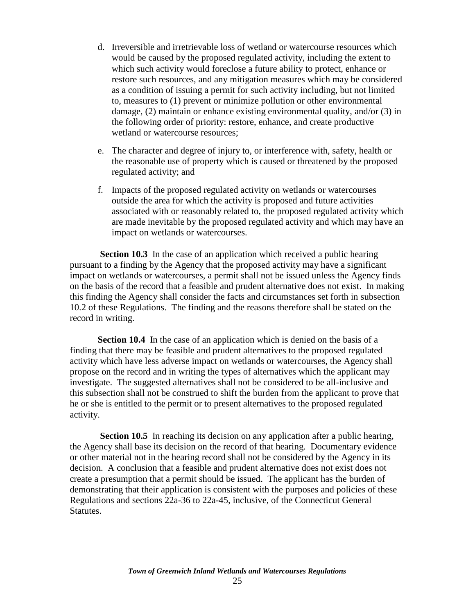- d. Irreversible and irretrievable loss of wetland or watercourse resources which would be caused by the proposed regulated activity, including the extent to which such activity would foreclose a future ability to protect, enhance or restore such resources, and any mitigation measures which may be considered as a condition of issuing a permit for such activity including, but not limited to, measures to (1) prevent or minimize pollution or other environmental damage, (2) maintain or enhance existing environmental quality, and/or (3) in the following order of priority: restore, enhance, and create productive wetland or watercourse resources;
- e. The character and degree of injury to, or interference with, safety, health or the reasonable use of property which is caused or threatened by the proposed regulated activity; and
- f. Impacts of the proposed regulated activity on wetlands or watercourses outside the area for which the activity is proposed and future activities associated with or reasonably related to, the proposed regulated activity which are made inevitable by the proposed regulated activity and which may have an impact on wetlands or watercourses.

**Section 10.3** In the case of an application which received a public hearing pursuant to a finding by the Agency that the proposed activity may have a significant impact on wetlands or watercourses, a permit shall not be issued unless the Agency finds on the basis of the record that a feasible and prudent alternative does not exist. In making this finding the Agency shall consider the facts and circumstances set forth in subsection 10.2 of these Regulations. The finding and the reasons therefore shall be stated on the record in writing.

**Section 10.4** In the case of an application which is denied on the basis of a finding that there may be feasible and prudent alternatives to the proposed regulated activity which have less adverse impact on wetlands or watercourses, the Agency shall propose on the record and in writing the types of alternatives which the applicant may investigate. The suggested alternatives shall not be considered to be all-inclusive and this subsection shall not be construed to shift the burden from the applicant to prove that he or she is entitled to the permit or to present alternatives to the proposed regulated activity.

**Section 10.5** In reaching its decision on any application after a public hearing, the Agency shall base its decision on the record of that hearing. Documentary evidence or other material not in the hearing record shall not be considered by the Agency in its decision. A conclusion that a feasible and prudent alternative does not exist does not create a presumption that a permit should be issued. The applicant has the burden of demonstrating that their application is consistent with the purposes and policies of these Regulations and sections 22a-36 to 22a-45, inclusive, of the Connecticut General Statutes.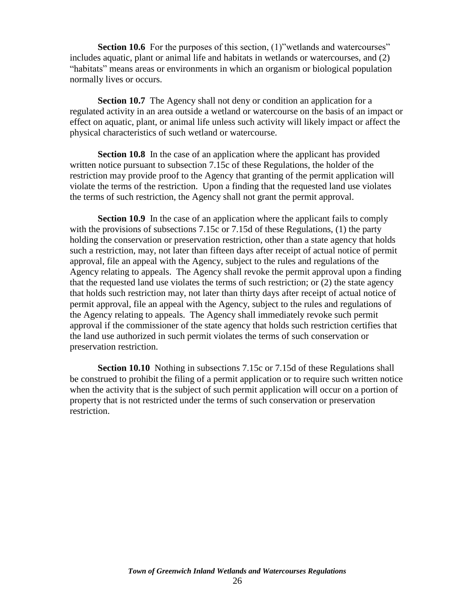**Section 10.6** For the purposes of this section, (1)"wetlands and watercourses" includes aquatic, plant or animal life and habitats in wetlands or watercourses, and (2) "habitats" means areas or environments in which an organism or biological population normally lives or occurs.

**Section 10.7** The Agency shall not deny or condition an application for a regulated activity in an area outside a wetland or watercourse on the basis of an impact or effect on aquatic, plant, or animal life unless such activity will likely impact or affect the physical characteristics of such wetland or watercourse.

**Section 10.8** In the case of an application where the applicant has provided written notice pursuant to subsection 7.15c of these Regulations, the holder of the restriction may provide proof to the Agency that granting of the permit application will violate the terms of the restriction. Upon a finding that the requested land use violates the terms of such restriction, the Agency shall not grant the permit approval.

**Section 10.9** In the case of an application where the applicant fails to comply with the provisions of subsections 7.15c or 7.15d of these Regulations, (1) the party holding the conservation or preservation restriction, other than a state agency that holds such a restriction, may, not later than fifteen days after receipt of actual notice of permit approval, file an appeal with the Agency, subject to the rules and regulations of the Agency relating to appeals. The Agency shall revoke the permit approval upon a finding that the requested land use violates the terms of such restriction; or (2) the state agency that holds such restriction may, not later than thirty days after receipt of actual notice of permit approval, file an appeal with the Agency, subject to the rules and regulations of the Agency relating to appeals. The Agency shall immediately revoke such permit approval if the commissioner of the state agency that holds such restriction certifies that the land use authorized in such permit violates the terms of such conservation or preservation restriction.

**Section 10.10** Nothing in subsections 7.15c or 7.15d of these Regulations shall be construed to prohibit the filing of a permit application or to require such written notice when the activity that is the subject of such permit application will occur on a portion of property that is not restricted under the terms of such conservation or preservation restriction.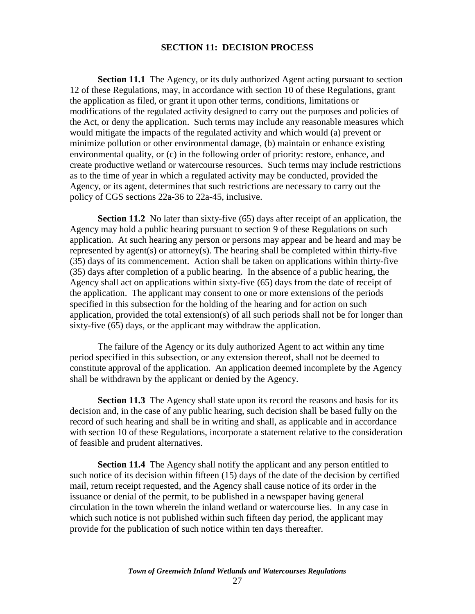#### **SECTION 11: DECISION PROCESS**

<span id="page-27-0"></span>**Section 11.1** The Agency, or its duly authorized Agent acting pursuant to section 12 of these Regulations, may, in accordance with section 10 of these Regulations, grant the application as filed, or grant it upon other terms, conditions, limitations or modifications of the regulated activity designed to carry out the purposes and policies of the Act, or deny the application. Such terms may include any reasonable measures which would mitigate the impacts of the regulated activity and which would (a) prevent or minimize pollution or other environmental damage, (b) maintain or enhance existing environmental quality, or (c) in the following order of priority: restore, enhance, and create productive wetland or watercourse resources. Such terms may include restrictions as to the time of year in which a regulated activity may be conducted, provided the Agency, or its agent, determines that such restrictions are necessary to carry out the policy of CGS sections 22a-36 to 22a-45, inclusive.

**Section 11.2** No later than sixty-five (65) days after receipt of an application, the Agency may hold a public hearing pursuant to section 9 of these Regulations on such application. At such hearing any person or persons may appear and be heard and may be represented by agent(s) or attorney(s). The hearing shall be completed within thirty-five (35) days of its commencement. Action shall be taken on applications within thirty-five (35) days after completion of a public hearing. In the absence of a public hearing, the Agency shall act on applications within sixty-five (65) days from the date of receipt of the application. The applicant may consent to one or more extensions of the periods specified in this subsection for the holding of the hearing and for action on such application, provided the total extension(s) of all such periods shall not be for longer than sixty-five (65) days, or the applicant may withdraw the application.

The failure of the Agency or its duly authorized Agent to act within any time period specified in this subsection, or any extension thereof, shall not be deemed to constitute approval of the application. An application deemed incomplete by the Agency shall be withdrawn by the applicant or denied by the Agency.

**Section 11.3** The Agency shall state upon its record the reasons and basis for its decision and, in the case of any public hearing, such decision shall be based fully on the record of such hearing and shall be in writing and shall, as applicable and in accordance with section 10 of these Regulations, incorporate a statement relative to the consideration of feasible and prudent alternatives.

**Section 11.4** The Agency shall notify the applicant and any person entitled to such notice of its decision within fifteen (15) days of the date of the decision by certified mail, return receipt requested, and the Agency shall cause notice of its order in the issuance or denial of the permit, to be published in a newspaper having general circulation in the town wherein the inland wetland or watercourse lies. In any case in which such notice is not published within such fifteen day period, the applicant may provide for the publication of such notice within ten days thereafter.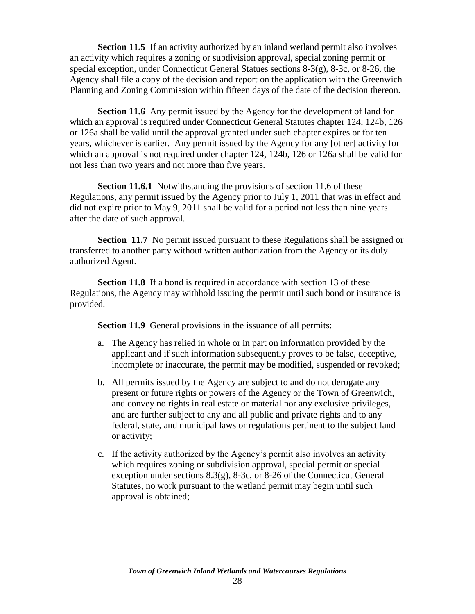**Section 11.5** If an activity authorized by an inland wetland permit also involves an activity which requires a zoning or subdivision approval, special zoning permit or special exception, under Connecticut General Statues sections 8-3(g), 8-3c, or 8-26, the Agency shall file a copy of the decision and report on the application with the Greenwich Planning and Zoning Commission within fifteen days of the date of the decision thereon.

**Section 11.6** Any permit issued by the Agency for the development of land for which an approval is required under Connecticut General Statutes chapter 124, 124b, 126 or 126a shall be valid until the approval granted under such chapter expires or for ten years, whichever is earlier. Any permit issued by the Agency for any [other] activity for which an approval is not required under chapter 124, 124b, 126 or 126a shall be valid for not less than two years and not more than five years.

**Section 11.6.1** Notwithstanding the provisions of section 11.6 of these Regulations, any permit issued by the Agency prior to July 1, 2011 that was in effect and did not expire prior to May 9, 2011 shall be valid for a period not less than nine years after the date of such approval.

**Section 11.7** No permit issued pursuant to these Regulations shall be assigned or transferred to another party without written authorization from the Agency or its duly authorized Agent.

**Section 11.8** If a bond is required in accordance with section 13 of these Regulations, the Agency may withhold issuing the permit until such bond or insurance is provided.

**Section 11.9** General provisions in the issuance of all permits:

- a. The Agency has relied in whole or in part on information provided by the applicant and if such information subsequently proves to be false, deceptive, incomplete or inaccurate, the permit may be modified, suspended or revoked;
- b. All permits issued by the Agency are subject to and do not derogate any present or future rights or powers of the Agency or the Town of Greenwich, and convey no rights in real estate or material nor any exclusive privileges, and are further subject to any and all public and private rights and to any federal, state, and municipal laws or regulations pertinent to the subject land or activity;
- c. If the activity authorized by the Agency's permit also involves an activity which requires zoning or subdivision approval, special permit or special exception under sections  $8.3(g)$ ,  $8-3c$ , or  $8-26$  of the Connecticut General Statutes, no work pursuant to the wetland permit may begin until such approval is obtained;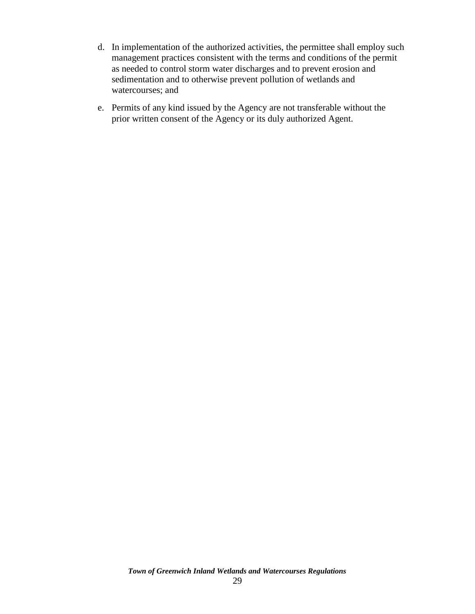- d. In implementation of the authorized activities, the permittee shall employ such management practices consistent with the terms and conditions of the permit as needed to control storm water discharges and to prevent erosion and sedimentation and to otherwise prevent pollution of wetlands and watercourses; and
- <span id="page-29-0"></span>e. Permits of any kind issued by the Agency are not transferable without the prior written consent of the Agency or its duly authorized Agent.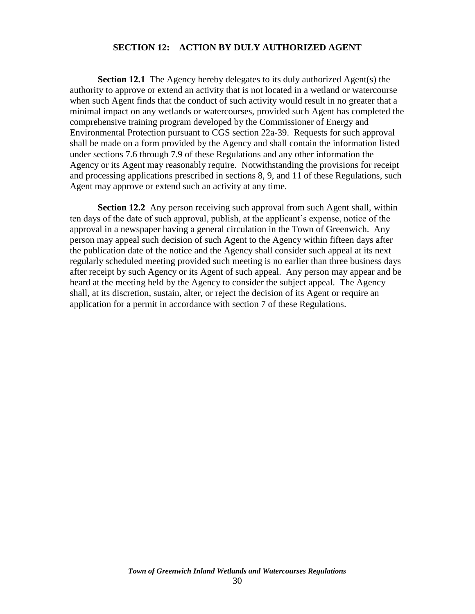### **SECTION 12: ACTION BY DULY AUTHORIZED AGENT**

**Section 12.1** The Agency hereby delegates to its duly authorized Agent(s) the authority to approve or extend an activity that is not located in a wetland or watercourse when such Agent finds that the conduct of such activity would result in no greater that a minimal impact on any wetlands or watercourses, provided such Agent has completed the comprehensive training program developed by the Commissioner of Energy and Environmental Protection pursuant to CGS section 22a-39. Requests for such approval shall be made on a form provided by the Agency and shall contain the information listed under sections 7.6 through 7.9 of these Regulations and any other information the Agency or its Agent may reasonably require. Notwithstanding the provisions for receipt and processing applications prescribed in sections 8, 9, and 11 of these Regulations, such Agent may approve or extend such an activity at any time.

**Section 12.2** Any person receiving such approval from such Agent shall, within ten days of the date of such approval, publish, at the applicant's expense, notice of the approval in a newspaper having a general circulation in the Town of Greenwich. Any person may appeal such decision of such Agent to the Agency within fifteen days after the publication date of the notice and the Agency shall consider such appeal at its next regularly scheduled meeting provided such meeting is no earlier than three business days after receipt by such Agency or its Agent of such appeal. Any person may appear and be heard at the meeting held by the Agency to consider the subject appeal. The Agency shall, at its discretion, sustain, alter, or reject the decision of its Agent or require an application for a permit in accordance with section 7 of these Regulations.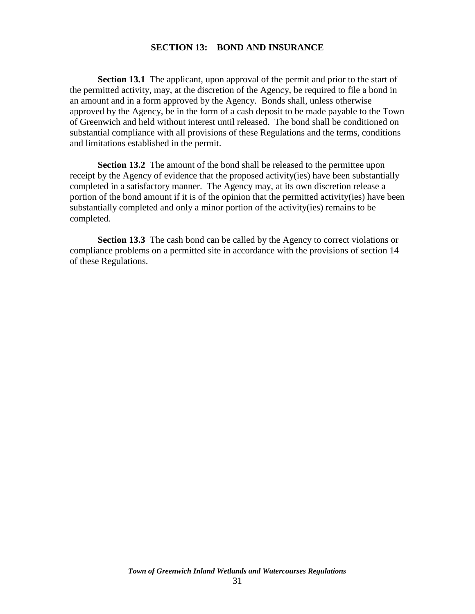#### **SECTION 13: BOND AND INSURANCE**

<span id="page-31-0"></span>**Section 13.1** The applicant, upon approval of the permit and prior to the start of the permitted activity, may, at the discretion of the Agency, be required to file a bond in an amount and in a form approved by the Agency. Bonds shall, unless otherwise approved by the Agency, be in the form of a cash deposit to be made payable to the Town of Greenwich and held without interest until released. The bond shall be conditioned on substantial compliance with all provisions of these Regulations and the terms, conditions and limitations established in the permit.

**Section 13.2** The amount of the bond shall be released to the permittee upon receipt by the Agency of evidence that the proposed activity(ies) have been substantially completed in a satisfactory manner. The Agency may, at its own discretion release a portion of the bond amount if it is of the opinion that the permitted activity(ies) have been substantially completed and only a minor portion of the activity(ies) remains to be completed.

**Section 13.3** The cash bond can be called by the Agency to correct violations or compliance problems on a permitted site in accordance with the provisions of section 14 of these Regulations.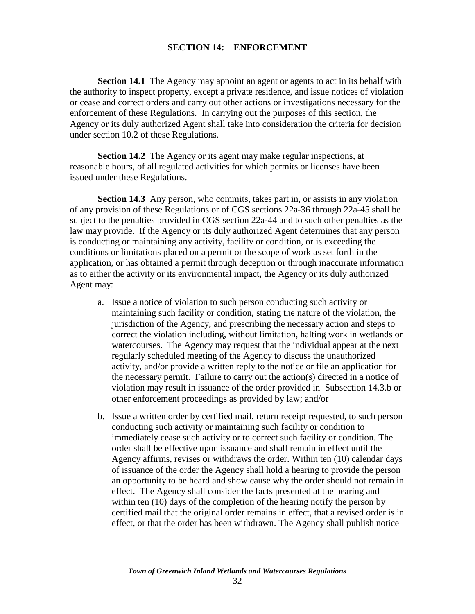### **SECTION 14: ENFORCEMENT**

<span id="page-32-0"></span>**Section 14.1** The Agency may appoint an agent or agents to act in its behalf with the authority to inspect property, except a private residence, and issue notices of violation or cease and correct orders and carry out other actions or investigations necessary for the enforcement of these Regulations. In carrying out the purposes of this section, the Agency or its duly authorized Agent shall take into consideration the criteria for decision under section 10.2 of these Regulations.

**Section 14.2** The Agency or its agent may make regular inspections, at reasonable hours, of all regulated activities for which permits or licenses have been issued under these Regulations.

**Section 14.3** Any person, who commits, takes part in, or assists in any violation of any provision of these Regulations or of CGS sections 22a-36 through 22a-45 shall be subject to the penalties provided in CGS section 22a-44 and to such other penalties as the law may provide. If the Agency or its duly authorized Agent determines that any person is conducting or maintaining any activity, facility or condition, or is exceeding the conditions or limitations placed on a permit or the scope of work as set forth in the application, or has obtained a permit through deception or through inaccurate information as to either the activity or its environmental impact, the Agency or its duly authorized Agent may:

- a. Issue a notice of violation to such person conducting such activity or maintaining such facility or condition, stating the nature of the violation, the jurisdiction of the Agency, and prescribing the necessary action and steps to correct the violation including, without limitation, halting work in wetlands or watercourses. The Agency may request that the individual appear at the next regularly scheduled meeting of the Agency to discuss the unauthorized activity, and/or provide a written reply to the notice or file an application for the necessary permit. Failure to carry out the action(s) directed in a notice of violation may result in issuance of the order provided in Subsection 14.3.b or other enforcement proceedings as provided by law; and/or
- b. Issue a written order by certified mail, return receipt requested, to such person conducting such activity or maintaining such facility or condition to immediately cease such activity or to correct such facility or condition. The order shall be effective upon issuance and shall remain in effect until the Agency affirms, revises or withdraws the order. Within ten (10) calendar days of issuance of the order the Agency shall hold a hearing to provide the person an opportunity to be heard and show cause why the order should not remain in effect. The Agency shall consider the facts presented at the hearing and within ten (10) days of the completion of the hearing notify the person by certified mail that the original order remains in effect, that a revised order is in effect, or that the order has been withdrawn. The Agency shall publish notice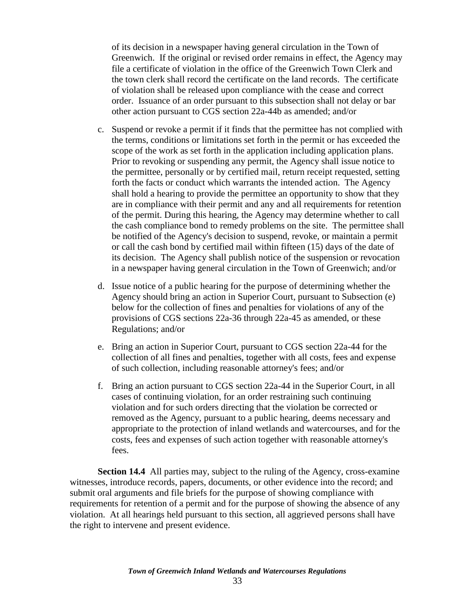of its decision in a newspaper having general circulation in the Town of Greenwich. If the original or revised order remains in effect, the Agency may file a certificate of violation in the office of the Greenwich Town Clerk and the town clerk shall record the certificate on the land records. The certificate of violation shall be released upon compliance with the cease and correct order. Issuance of an order pursuant to this subsection shall not delay or bar other action pursuant to CGS section 22a-44b as amended; and/or

- c. Suspend or revoke a permit if it finds that the permittee has not complied with the terms, conditions or limitations set forth in the permit or has exceeded the scope of the work as set forth in the application including application plans. Prior to revoking or suspending any permit, the Agency shall issue notice to the permittee, personally or by certified mail, return receipt requested, setting forth the facts or conduct which warrants the intended action. The Agency shall hold a hearing to provide the permittee an opportunity to show that they are in compliance with their permit and any and all requirements for retention of the permit. During this hearing, the Agency may determine whether to call the cash compliance bond to remedy problems on the site. The permittee shall be notified of the Agency's decision to suspend, revoke, or maintain a permit or call the cash bond by certified mail within fifteen (15) days of the date of its decision. The Agency shall publish notice of the suspension or revocation in a newspaper having general circulation in the Town of Greenwich; and/or
- d. Issue notice of a public hearing for the purpose of determining whether the Agency should bring an action in Superior Court, pursuant to Subsection (e) below for the collection of fines and penalties for violations of any of the provisions of CGS sections 22a-36 through 22a-45 as amended, or these Regulations; and/or
- e. Bring an action in Superior Court, pursuant to CGS section 22a-44 for the collection of all fines and penalties, together with all costs, fees and expense of such collection, including reasonable attorney's fees; and/or
- f. Bring an action pursuant to CGS section 22a-44 in the Superior Court, in all cases of continuing violation, for an order restraining such continuing violation and for such orders directing that the violation be corrected or removed as the Agency, pursuant to a public hearing, deems necessary and appropriate to the protection of inland wetlands and watercourses, and for the costs, fees and expenses of such action together with reasonable attorney's fees.

**Section 14.4** All parties may, subject to the ruling of the Agency, cross-examine witnesses, introduce records, papers, documents, or other evidence into the record; and submit oral arguments and file briefs for the purpose of showing compliance with requirements for retention of a permit and for the purpose of showing the absence of any violation. At all hearings held pursuant to this section, all aggrieved persons shall have the right to intervene and present evidence.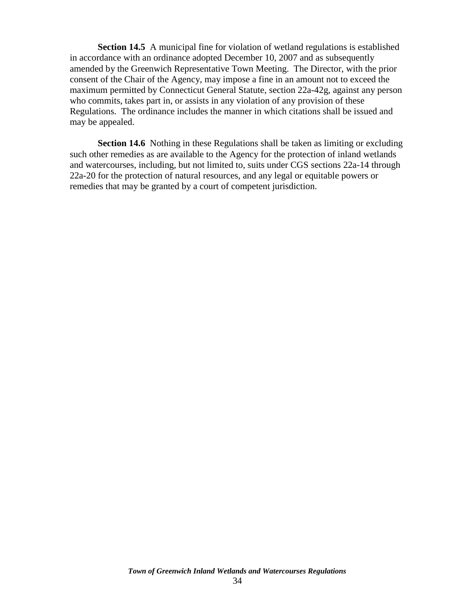**Section 14.5** A municipal fine for violation of wetland regulations is established in accordance with an ordinance adopted December 10, 2007 and as subsequently amended by the Greenwich Representative Town Meeting. The Director, with the prior consent of the Chair of the Agency, may impose a fine in an amount not to exceed the maximum permitted by Connecticut General Statute, section 22a-42g, against any person who commits, takes part in, or assists in any violation of any provision of these Regulations. The ordinance includes the manner in which citations shall be issued and may be appealed.

**Section 14.6** Nothing in these Regulations shall be taken as limiting or excluding such other remedies as are available to the Agency for the protection of inland wetlands and watercourses, including, but not limited to, suits under CGS sections 22a-14 through 22a-20 for the protection of natural resources, and any legal or equitable powers or remedies that may be granted by a court of competent jurisdiction.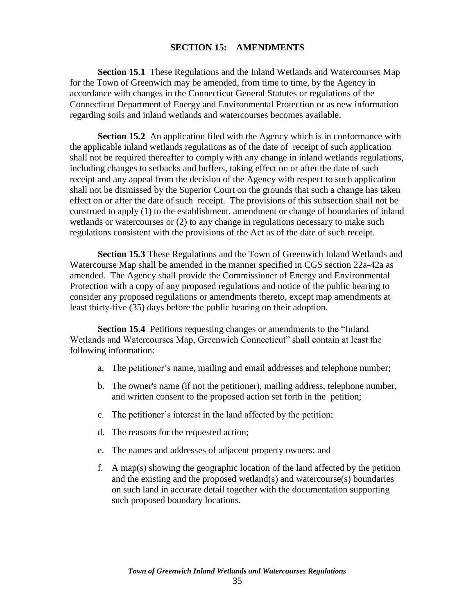## **SECTION 15: AMENDMENTS**

<span id="page-35-0"></span>**Section 15.1** These Regulations and the Inland Wetlands and Watercourses Map for the Town of Greenwich may be amended, from time to time, by the Agency in accordance with changes in the Connecticut General Statutes or regulations of the Connecticut Department of Energy and Environmental Protection or as new information regarding soils and inland wetlands and watercourses becomes available.

**Section 15.2** An application filed with the Agency which is in conformance with the applicable inland wetlands regulations as of the date of receipt of such application shall not be required thereafter to comply with any change in inland wetlands regulations, including changes to setbacks and buffers, taking effect on or after the date of such receipt and any appeal from the decision of the Agency with respect to such application shall not be dismissed by the Superior Court on the grounds that such a change has taken effect on or after the date of such receipt. The provisions of this subsection shall not be construed to apply (1) to the establishment, amendment or change of boundaries of inland wetlands or watercourses or (2) to any change in regulations necessary to make such regulations consistent with the provisions of the Act as of the date of such receipt.

**Section 15.3** These Regulations and the Town of Greenwich Inland Wetlands and Watercourse Map shall be amended in the manner specified in CGS section 22a-42a as amended. The Agency shall provide the Commissioner of Energy and Environmental Protection with a copy of any proposed regulations and notice of the public hearing to consider any proposed regulations or amendments thereto, except map amendments at least thirty-five (35) days before the public hearing on their adoption.

**Section 15**.**4** Petitions requesting changes or amendments to the "Inland Wetlands and Watercourses Map, Greenwich Connecticut" shall contain at least the following information:

- a. The petitioner's name, mailing and email addresses and telephone number;
- b. The owner's name (if not the petitioner), mailing address, telephone number, and written consent to the proposed action set forth in the petition;
- c. The petitioner's interest in the land affected by the petition;
- d. The reasons for the requested action;
- e. The names and addresses of adjacent property owners; and
- f. A map(s) showing the geographic location of the land affected by the petition and the existing and the proposed wetland(s) and watercourse(s) boundaries on such land in accurate detail together with the documentation supporting such proposed boundary locations.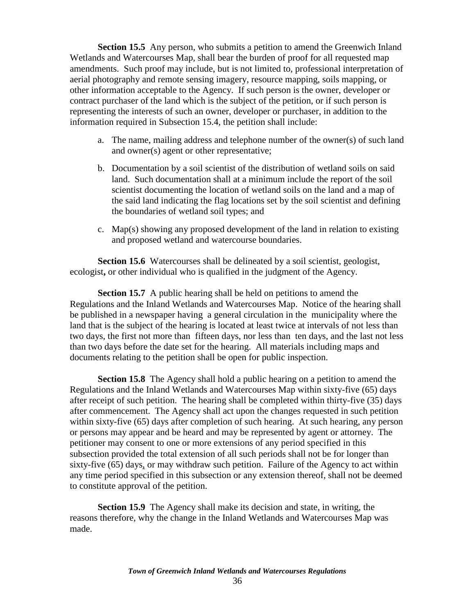**Section 15.5** Any person, who submits a petition to amend the Greenwich Inland Wetlands and Watercourses Map, shall bear the burden of proof for all requested map amendments. Such proof may include, but is not limited to, professional interpretation of aerial photography and remote sensing imagery, resource mapping, soils mapping, or other information acceptable to the Agency. If such person is the owner, developer or contract purchaser of the land which is the subject of the petition, or if such person is representing the interests of such an owner, developer or purchaser, in addition to the information required in Subsection 15.4, the petition shall include:

- a. The name, mailing address and telephone number of the owner(s) of such land and owner(s) agent or other representative;
- b. Documentation by a soil scientist of the distribution of wetland soils on said land. Such documentation shall at a minimum include the report of the soil scientist documenting the location of wetland soils on the land and a map of the said land indicating the flag locations set by the soil scientist and defining the boundaries of wetland soil types; and
- c. Map(s) showing any proposed development of the land in relation to existing and proposed wetland and watercourse boundaries.

**Section 15.6** Watercourses shall be delineated by a soil scientist, geologist, ecologist**,** or other individual who is qualified in the judgment of the Agency.

**Section 15.7** A public hearing shall be held on petitions to amend the Regulations and the Inland Wetlands and Watercourses Map. Notice of the hearing shall be published in a newspaper having a general circulation in the municipality where the land that is the subject of the hearing is located at least twice at intervals of not less than two days, the first not more than fifteen days, nor less than ten days, and the last not less than two days before the date set for the hearing. All materials including maps and documents relating to the petition shall be open for public inspection.

**Section 15.8** The Agency shall hold a public hearing on a petition to amend the Regulations and the Inland Wetlands and Watercourses Map within sixty-five (65) days after receipt of such petition. The hearing shall be completed within thirty-five (35) days after commencement. The Agency shall act upon the changes requested in such petition within sixty-five (65) days after completion of such hearing. At such hearing, any person or persons may appear and be heard and may be represented by agent or attorney. The petitioner may consent to one or more extensions of any period specified in this subsection provided the total extension of all such periods shall not be for longer than sixty-five (65) days, or may withdraw such petition. Failure of the Agency to act within any time period specified in this subsection or any extension thereof, shall not be deemed to constitute approval of the petition.

<span id="page-36-0"></span>**Section 15.9** The Agency shall make its decision and state, in writing, the reasons therefore, why the change in the Inland Wetlands and Watercourses Map was made.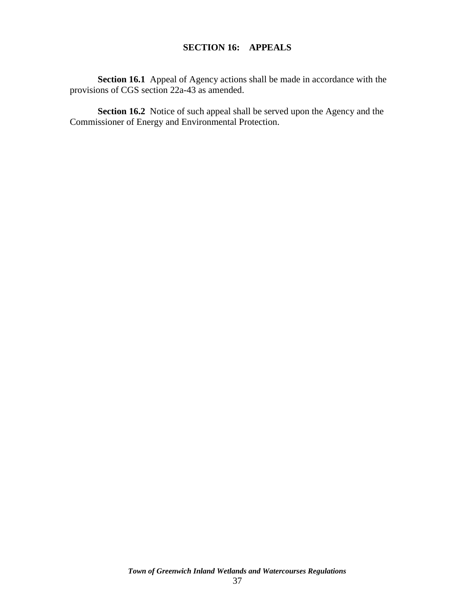## **SECTION 16: APPEALS**

**Section 16.1** Appeal of Agency actions shall be made in accordance with the provisions of CGS section 22a-43 as amended.

**Section 16.2** Notice of such appeal shall be served upon the Agency and the Commissioner of Energy and Environmental Protection.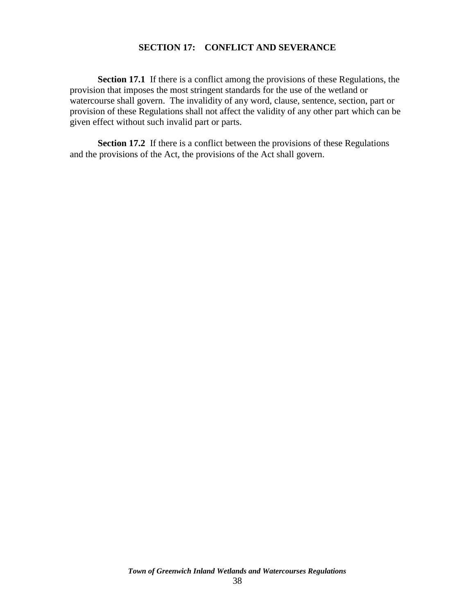## **SECTION 17: CONFLICT AND SEVERANCE**

<span id="page-38-0"></span>**Section 17.1** If there is a conflict among the provisions of these Regulations, the provision that imposes the most stringent standards for the use of the wetland or watercourse shall govern. The invalidity of any word, clause, sentence, section, part or provision of these Regulations shall not affect the validity of any other part which can be given effect without such invalid part or parts.

**Section 17.2** If there is a conflict between the provisions of these Regulations and the provisions of the Act, the provisions of the Act shall govern.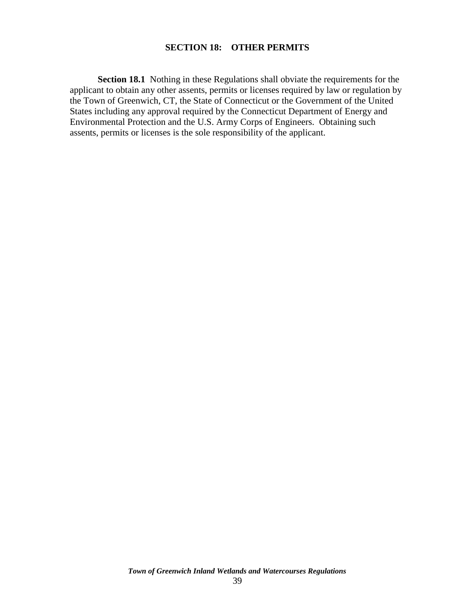## **SECTION 18: OTHER PERMITS**

**Section 18.1** Nothing in these Regulations shall obviate the requirements for the applicant to obtain any other assents, permits or licenses required by law or regulation by the Town of Greenwich, CT, the State of Connecticut or the Government of the United States including any approval required by the Connecticut Department of Energy and Environmental Protection and the U.S. Army Corps of Engineers. Obtaining such assents, permits or licenses is the sole responsibility of the applicant.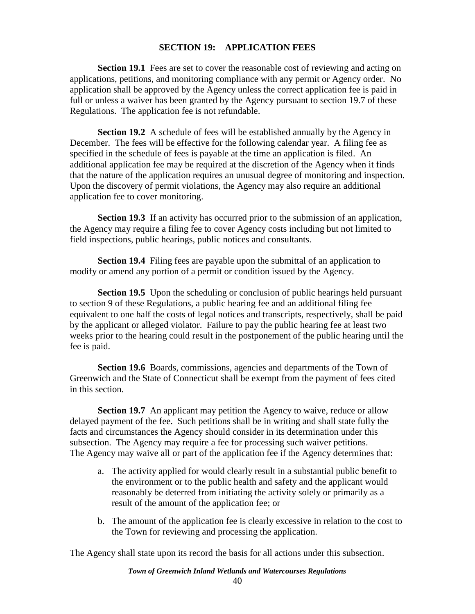## **SECTION 19: APPLICATION FEES**

<span id="page-40-0"></span>**Section 19.1** Fees are set to cover the reasonable cost of reviewing and acting on applications, petitions, and monitoring compliance with any permit or Agency order. No application shall be approved by the Agency unless the correct application fee is paid in full or unless a waiver has been granted by the Agency pursuant to section 19.7 of these Regulations. The application fee is not refundable.

**Section 19.2** A schedule of fees will be established annually by the Agency in December. The fees will be effective for the following calendar year. A filing fee as specified in the schedule of fees is payable at the time an application is filed. An additional application fee may be required at the discretion of the Agency when it finds that the nature of the application requires an unusual degree of monitoring and inspection. Upon the discovery of permit violations, the Agency may also require an additional application fee to cover monitoring.

**Section 19.3** If an activity has occurred prior to the submission of an application, the Agency may require a filing fee to cover Agency costs including but not limited to field inspections, public hearings, public notices and consultants.

**Section 19.4** Filing fees are payable upon the submittal of an application to modify or amend any portion of a permit or condition issued by the Agency.

**Section 19.5** Upon the scheduling or conclusion of public hearings held pursuant to section 9 of these Regulations, a public hearing fee and an additional filing fee equivalent to one half the costs of legal notices and transcripts, respectively, shall be paid by the applicant or alleged violator. Failure to pay the public hearing fee at least two weeks prior to the hearing could result in the postponement of the public hearing until the fee is paid.

**Section 19.6** Boards, commissions, agencies and departments of the Town of Greenwich and the State of Connecticut shall be exempt from the payment of fees cited in this section.

**Section 19.7** An applicant may petition the Agency to waive, reduce or allow delayed payment of the fee. Such petitions shall be in writing and shall state fully the facts and circumstances the Agency should consider in its determination under this subsection. The Agency may require a fee for processing such waiver petitions. The Agency may waive all or part of the application fee if the Agency determines that:

- a. The activity applied for would clearly result in a substantial public benefit to the environment or to the public health and safety and the applicant would reasonably be deterred from initiating the activity solely or primarily as a result of the amount of the application fee; or
- b. The amount of the application fee is clearly excessive in relation to the cost to the Town for reviewing and processing the application.

The Agency shall state upon its record the basis for all actions under this subsection.